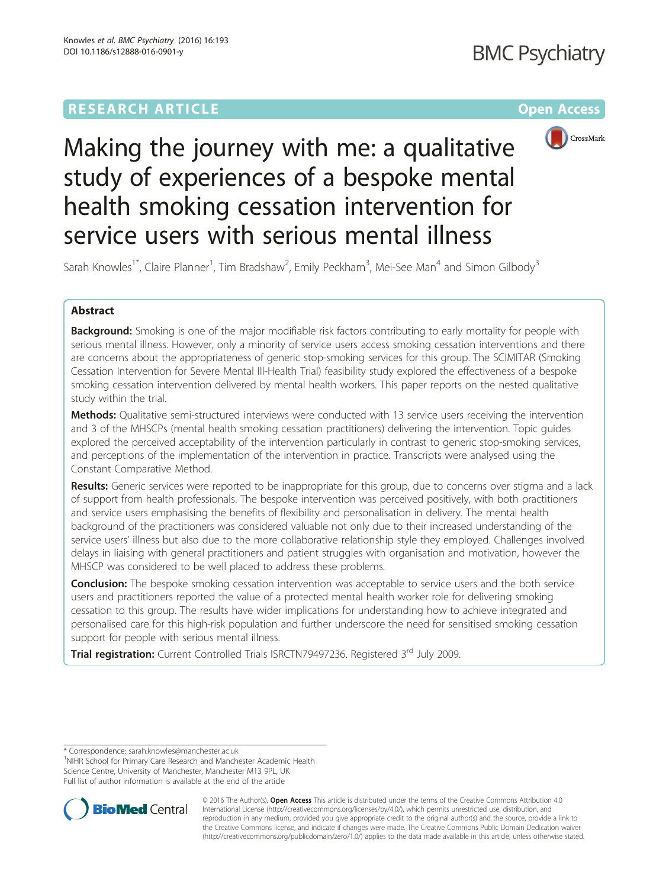# **RESEARCH ARTICLE Example 2014 12:30 The Community Community Community Community Community Community Community**



Making the journey with me: a qualitative study of experiences of a bespoke mental health smoking cessation intervention for service users with serious mental illness

Sarah Knowles<sup>1\*</sup>, Claire Planner<sup>1</sup>, Tim Bradshaw<sup>2</sup>, Emily Peckham<sup>3</sup>, Mei-See Man<sup>4</sup> and Simon Gilbody<sup>3</sup>

## Abstract

**Background:** Smoking is one of the major modifiable risk factors contributing to early mortality for people with serious mental illness. However, only a minority of service users access smoking cessation interventions and there are concerns about the appropriateness of generic stop-smoking services for this group. The SCIMITAR (Smoking Cessation Intervention for Severe Mental Ill-Health Trial) feasibility study explored the effectiveness of a bespoke smoking cessation intervention delivered by mental health workers. This paper reports on the nested qualitative study within the trial.

Methods: Qualitative semi-structured interviews were conducted with 13 service users receiving the intervention and 3 of the MHSCPs (mental health smoking cessation practitioners) delivering the intervention. Topic guides explored the perceived acceptability of the intervention particularly in contrast to generic stop-smoking services, and perceptions of the implementation of the intervention in practice. Transcripts were analysed using the Constant Comparative Method.

Results: Generic services were reported to be inappropriate for this group, due to concerns over stigma and a lack of support from health professionals. The bespoke intervention was perceived positively, with both practitioners and service users emphasising the benefits of flexibility and personalisation in delivery. The mental health background of the practitioners was considered valuable not only due to their increased understanding of the service users' illness but also due to the more collaborative relationship style they employed. Challenges involved delays in liaising with general practitioners and patient struggles with organisation and motivation, however the MHSCP was considered to be well placed to address these problems.

**Conclusion:** The bespoke smoking cessation intervention was acceptable to service users and the both service users and practitioners reported the value of a protected mental health worker role for delivering smoking cessation to this group. The results have wider implications for understanding how to achieve integrated and personalised care for this high-risk population and further underscore the need for sensitised smoking cessation support for people with serious mental illness.

Trial registration: Current Controlled Trials [ISRCTN79497236.](http://www.isrctn.com/ISRCTN79497236) Registered 3<sup>rd</sup> July 2009.

\* Correspondence: [sarah.knowles@manchester.ac.uk](mailto:sarah.knowles@manchester.ac.uk) <sup>1</sup>

<sup>1</sup>NIHR School for Primary Care Research and Manchester Academic Health Science Centre, University of Manchester, Manchester M13 9PL, UK Full list of author information is available at the end of the article



© 2016 The Author(s). Open Access This article is distributed under the terms of the Creative Commons Attribution 4.0 International License [\(http://creativecommons.org/licenses/by/4.0/](http://creativecommons.org/licenses/by/4.0/)), which permits unrestricted use, distribution, and reproduction in any medium, provided you give appropriate credit to the original author(s) and the source, provide a link to the Creative Commons license, and indicate if changes were made. The Creative Commons Public Domain Dedication waiver [\(http://creativecommons.org/publicdomain/zero/1.0/](http://creativecommons.org/publicdomain/zero/1.0/)) applies to the data made available in this article, unless otherwise stated.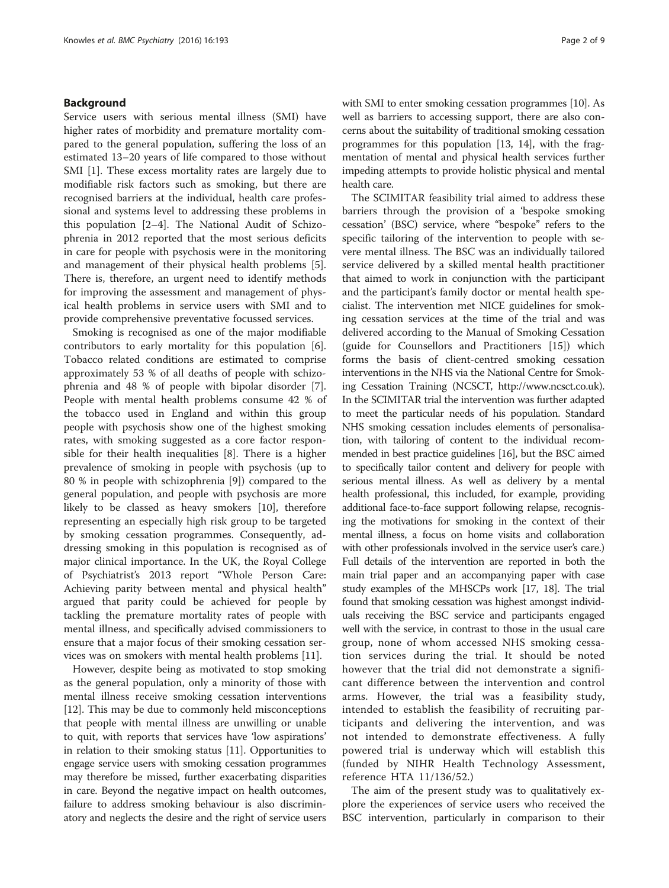## Background

Service users with serious mental illness (SMI) have higher rates of morbidity and premature mortality compared to the general population, suffering the loss of an estimated 13–20 years of life compared to those without SMI [\[1\]](#page-8-0). These excess mortality rates are largely due to modifiable risk factors such as smoking, but there are recognised barriers at the individual, health care professional and systems level to addressing these problems in this population [[2](#page-8-0)–[4](#page-8-0)]. The National Audit of Schizophrenia in 2012 reported that the most serious deficits in care for people with psychosis were in the monitoring and management of their physical health problems [\[5](#page-8-0)]. There is, therefore, an urgent need to identify methods for improving the assessment and management of physical health problems in service users with SMI and to provide comprehensive preventative focussed services.

Smoking is recognised as one of the major modifiable contributors to early mortality for this population [\[6](#page-8-0)]. Tobacco related conditions are estimated to comprise approximately 53 % of all deaths of people with schizophrenia and 48 % of people with bipolar disorder [\[7](#page-8-0)]. People with mental health problems consume 42 % of the tobacco used in England and within this group people with psychosis show one of the highest smoking rates, with smoking suggested as a core factor responsible for their health inequalities [\[8\]](#page-8-0). There is a higher prevalence of smoking in people with psychosis (up to 80 % in people with schizophrenia [[9\]](#page-8-0)) compared to the general population, and people with psychosis are more likely to be classed as heavy smokers [[10](#page-8-0)], therefore representing an especially high risk group to be targeted by smoking cessation programmes. Consequently, addressing smoking in this population is recognised as of major clinical importance. In the UK, the Royal College of Psychiatrist's 2013 report "Whole Person Care: Achieving parity between mental and physical health" argued that parity could be achieved for people by tackling the premature mortality rates of people with mental illness, and specifically advised commissioners to ensure that a major focus of their smoking cessation services was on smokers with mental health problems [[11\]](#page-8-0).

However, despite being as motivated to stop smoking as the general population, only a minority of those with mental illness receive smoking cessation interventions [[12\]](#page-8-0). This may be due to commonly held misconceptions that people with mental illness are unwilling or unable to quit, with reports that services have 'low aspirations' in relation to their smoking status [\[11\]](#page-8-0). Opportunities to engage service users with smoking cessation programmes may therefore be missed, further exacerbating disparities in care. Beyond the negative impact on health outcomes, failure to address smoking behaviour is also discriminatory and neglects the desire and the right of service users with SMI to enter smoking cessation programmes [\[10](#page-8-0)]. As well as barriers to accessing support, there are also concerns about the suitability of traditional smoking cessation programmes for this population [\[13, 14](#page-8-0)], with the fragmentation of mental and physical health services further impeding attempts to provide holistic physical and mental health care.

The SCIMITAR feasibility trial aimed to address these barriers through the provision of a 'bespoke smoking cessation' (BSC) service, where "bespoke" refers to the specific tailoring of the intervention to people with severe mental illness. The BSC was an individually tailored service delivered by a skilled mental health practitioner that aimed to work in conjunction with the participant and the participant's family doctor or mental health specialist. The intervention met NICE guidelines for smoking cessation services at the time of the trial and was delivered according to the Manual of Smoking Cessation (guide for Counsellors and Practitioners [[15\]](#page-8-0)) which forms the basis of client-centred smoking cessation interventions in the NHS via the National Centre for Smoking Cessation Training (NCSCT,<http://www.ncsct.co.uk>). In the SCIMITAR trial the intervention was further adapted to meet the particular needs of his population. Standard NHS smoking cessation includes elements of personalisation, with tailoring of content to the individual recommended in best practice guidelines [[16\]](#page-8-0), but the BSC aimed to specifically tailor content and delivery for people with serious mental illness. As well as delivery by a mental health professional, this included, for example, providing additional face-to-face support following relapse, recognising the motivations for smoking in the context of their mental illness, a focus on home visits and collaboration with other professionals involved in the service user's care.) Full details of the intervention are reported in both the main trial paper and an accompanying paper with case study examples of the MHSCPs work [\[17](#page-8-0), [18](#page-8-0)]. The trial found that smoking cessation was highest amongst individuals receiving the BSC service and participants engaged well with the service, in contrast to those in the usual care group, none of whom accessed NHS smoking cessation services during the trial. It should be noted however that the trial did not demonstrate a significant difference between the intervention and control arms. However, the trial was a feasibility study, intended to establish the feasibility of recruiting participants and delivering the intervention, and was not intended to demonstrate effectiveness. A fully powered trial is underway which will establish this (funded by NIHR Health Technology Assessment, reference HTA 11/136/52.)

The aim of the present study was to qualitatively explore the experiences of service users who received the BSC intervention, particularly in comparison to their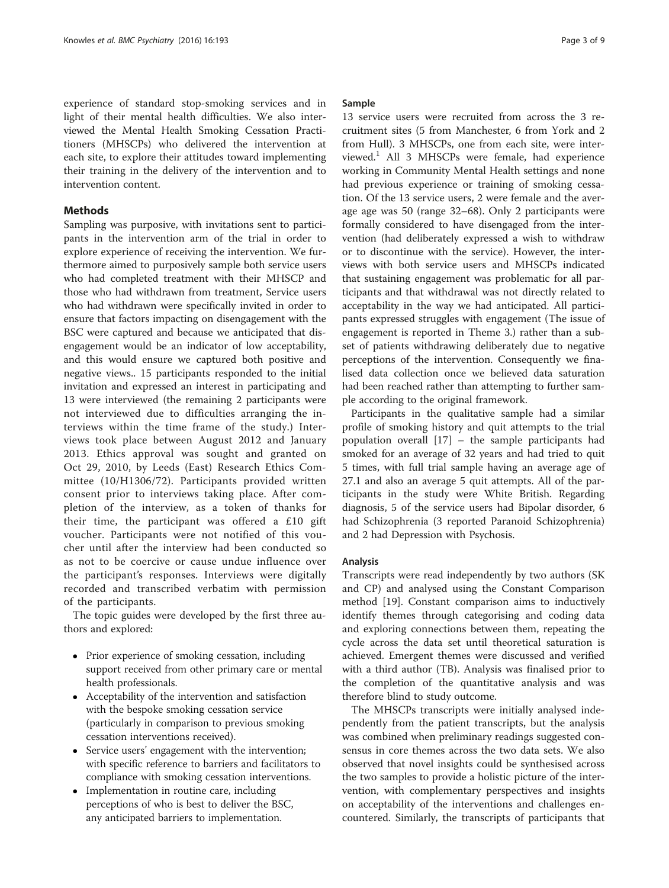experience of standard stop-smoking services and in light of their mental health difficulties. We also interviewed the Mental Health Smoking Cessation Practitioners (MHSCPs) who delivered the intervention at each site, to explore their attitudes toward implementing their training in the delivery of the intervention and to intervention content.

## **Methods**

Sampling was purposive, with invitations sent to participants in the intervention arm of the trial in order to explore experience of receiving the intervention. We furthermore aimed to purposively sample both service users who had completed treatment with their MHSCP and those who had withdrawn from treatment, Service users who had withdrawn were specifically invited in order to ensure that factors impacting on disengagement with the BSC were captured and because we anticipated that disengagement would be an indicator of low acceptability, and this would ensure we captured both positive and negative views.. 15 participants responded to the initial invitation and expressed an interest in participating and 13 were interviewed (the remaining 2 participants were not interviewed due to difficulties arranging the interviews within the time frame of the study.) Interviews took place between August 2012 and January 2013. Ethics approval was sought and granted on Oct 29, 2010, by Leeds (East) Research Ethics Committee (10/H1306/72). Participants provided written consent prior to interviews taking place. After completion of the interview, as a token of thanks for their time, the participant was offered a £10 gift voucher. Participants were not notified of this voucher until after the interview had been conducted so as not to be coercive or cause undue influence over the participant's responses. Interviews were digitally recorded and transcribed verbatim with permission of the participants.

The topic guides were developed by the first three authors and explored:

- Prior experience of smoking cessation, including support received from other primary care or mental health professionals.
- Acceptability of the intervention and satisfaction with the bespoke smoking cessation service (particularly in comparison to previous smoking cessation interventions received).
- Service users' engagement with the intervention; with specific reference to barriers and facilitators to compliance with smoking cessation interventions.
- Implementation in routine care, including perceptions of who is best to deliver the BSC, any anticipated barriers to implementation.

### Sample

13 service users were recruited from across the 3 recruitment sites (5 from Manchester, 6 from York and 2 from Hull). 3 MHSCPs, one from each site, were interviewed.<sup>1</sup> All 3 MHSCPs were female, had experience working in Community Mental Health settings and none had previous experience or training of smoking cessation. Of the 13 service users, 2 were female and the average age was 50 (range 32–68). Only 2 participants were formally considered to have disengaged from the intervention (had deliberately expressed a wish to withdraw or to discontinue with the service). However, the interviews with both service users and MHSCPs indicated that sustaining engagement was problematic for all participants and that withdrawal was not directly related to acceptability in the way we had anticipated. All participants expressed struggles with engagement (The issue of engagement is reported in Theme 3.) rather than a subset of patients withdrawing deliberately due to negative perceptions of the intervention. Consequently we finalised data collection once we believed data saturation had been reached rather than attempting to further sample according to the original framework.

Participants in the qualitative sample had a similar profile of smoking history and quit attempts to the trial population overall [\[17](#page-8-0)] – the sample participants had smoked for an average of 32 years and had tried to quit 5 times, with full trial sample having an average age of 27.1 and also an average 5 quit attempts. All of the participants in the study were White British. Regarding diagnosis, 5 of the service users had Bipolar disorder, 6 had Schizophrenia (3 reported Paranoid Schizophrenia) and 2 had Depression with Psychosis.

#### Analysis

Transcripts were read independently by two authors (SK and CP) and analysed using the Constant Comparison method [[19\]](#page-8-0). Constant comparison aims to inductively identify themes through categorising and coding data and exploring connections between them, repeating the cycle across the data set until theoretical saturation is achieved. Emergent themes were discussed and verified with a third author (TB). Analysis was finalised prior to the completion of the quantitative analysis and was therefore blind to study outcome.

The MHSCPs transcripts were initially analysed independently from the patient transcripts, but the analysis was combined when preliminary readings suggested consensus in core themes across the two data sets. We also observed that novel insights could be synthesised across the two samples to provide a holistic picture of the intervention, with complementary perspectives and insights on acceptability of the interventions and challenges encountered. Similarly, the transcripts of participants that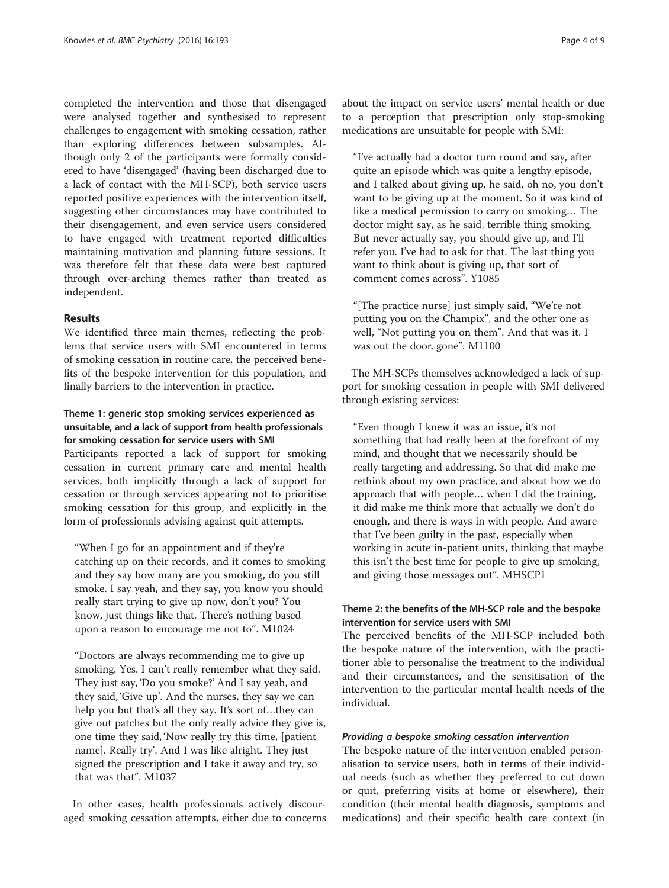completed the intervention and those that disengaged were analysed together and synthesised to represent challenges to engagement with smoking cessation, rather than exploring differences between subsamples. Although only 2 of the participants were formally considered to have 'disengaged' (having been discharged due to a lack of contact with the MH-SCP), both service users reported positive experiences with the intervention itself, suggesting other circumstances may have contributed to their disengagement, and even service users considered to have engaged with treatment reported difficulties maintaining motivation and planning future sessions. It was therefore felt that these data were best captured through over-arching themes rather than treated as independent.

## Results

We identified three main themes, reflecting the problems that service users with SMI encountered in terms of smoking cessation in routine care, the perceived benefits of the bespoke intervention for this population, and finally barriers to the intervention in practice.

## Theme 1: generic stop smoking services experienced as unsuitable, and a lack of support from health professionals for smoking cessation for service users with SMI

Participants reported a lack of support for smoking cessation in current primary care and mental health services, both implicitly through a lack of support for cessation or through services appearing not to prioritise smoking cessation for this group, and explicitly in the form of professionals advising against quit attempts.

"When I go for an appointment and if they're catching up on their records, and it comes to smoking and they say how many are you smoking, do you still smoke. I say yeah, and they say, you know you should really start trying to give up now, don't you? You know, just things like that. There's nothing based upon a reason to encourage me not to". M1024

"Doctors are always recommending me to give up smoking. Yes. I can't really remember what they said. They just say, 'Do you smoke?' And I say yeah, and they said, 'Give up'. And the nurses, they say we can help you but that's all they say. It's sort of…they can give out patches but the only really advice they give is, one time they said, 'Now really try this time, [patient name]. Really try'. And I was like alright. They just signed the prescription and I take it away and try, so that was that". M1037

In other cases, health professionals actively discouraged smoking cessation attempts, either due to concerns about the impact on service users' mental health or due to a perception that prescription only stop-smoking medications are unsuitable for people with SMI:

"I've actually had a doctor turn round and say, after quite an episode which was quite a lengthy episode, and I talked about giving up, he said, oh no, you don't want to be giving up at the moment. So it was kind of like a medical permission to carry on smoking… The doctor might say, as he said, terrible thing smoking. But never actually say, you should give up, and I'll refer you. I've had to ask for that. The last thing you want to think about is giving up, that sort of comment comes across". Y1085

"[The practice nurse] just simply said, "We're not putting you on the Champix", and the other one as well, "Not putting you on them". And that was it. I was out the door, gone". M1100

The MH-SCPs themselves acknowledged a lack of support for smoking cessation in people with SMI delivered through existing services:

"Even though I knew it was an issue, it's not something that had really been at the forefront of my mind, and thought that we necessarily should be really targeting and addressing. So that did make me rethink about my own practice, and about how we do approach that with people… when I did the training, it did make me think more that actually we don't do enough, and there is ways in with people. And aware that I've been guilty in the past, especially when working in acute in-patient units, thinking that maybe this isn't the best time for people to give up smoking, and giving those messages out". MHSCP1

## Theme 2: the benefits of the MH-SCP role and the bespoke intervention for service users with SMI

The perceived benefits of the MH-SCP included both the bespoke nature of the intervention, with the practitioner able to personalise the treatment to the individual and their circumstances, and the sensitisation of the intervention to the particular mental health needs of the individual.

#### Providing a bespoke smoking cessation intervention

The bespoke nature of the intervention enabled personalisation to service users, both in terms of their individual needs (such as whether they preferred to cut down or quit, preferring visits at home or elsewhere), their condition (their mental health diagnosis, symptoms and medications) and their specific health care context (in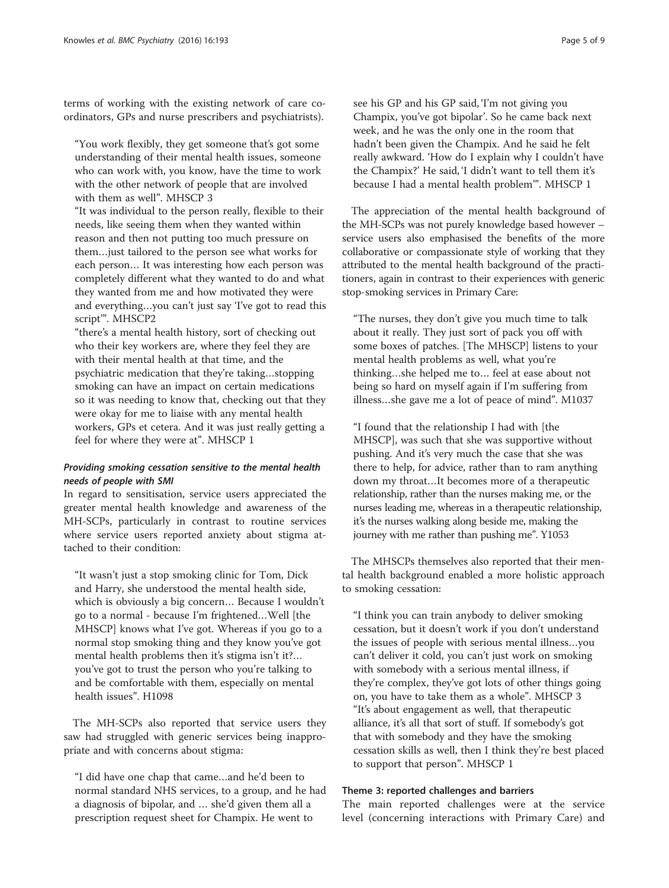terms of working with the existing network of care coordinators, GPs and nurse prescribers and psychiatrists).

"You work flexibly, they get someone that's got some understanding of their mental health issues, someone who can work with, you know, have the time to work with the other network of people that are involved with them as well". MHSCP 3

"It was individual to the person really, flexible to their needs, like seeing them when they wanted within reason and then not putting too much pressure on them…just tailored to the person see what works for each person… It was interesting how each person was completely different what they wanted to do and what they wanted from me and how motivated they were and everything…you can't just say 'I've got to read this script'". MHSCP2

"there's a mental health history, sort of checking out who their key workers are, where they feel they are with their mental health at that time, and the psychiatric medication that they're taking…stopping smoking can have an impact on certain medications so it was needing to know that, checking out that they were okay for me to liaise with any mental health workers, GPs et cetera. And it was just really getting a feel for where they were at". MHSCP 1

## Providing smoking cessation sensitive to the mental health needs of people with SMI

In regard to sensitisation, service users appreciated the greater mental health knowledge and awareness of the MH-SCPs, particularly in contrast to routine services where service users reported anxiety about stigma attached to their condition:

"It wasn't just a stop smoking clinic for Tom, Dick and Harry, she understood the mental health side, which is obviously a big concern… Because I wouldn't go to a normal - because I'm frightened…Well [the MHSCP] knows what I've got. Whereas if you go to a normal stop smoking thing and they know you've got mental health problems then it's stigma isn't it?… you've got to trust the person who you're talking to and be comfortable with them, especially on mental health issues". H1098

The MH-SCPs also reported that service users they saw had struggled with generic services being inappropriate and with concerns about stigma:

"I did have one chap that came…and he'd been to normal standard NHS services, to a group, and he had a diagnosis of bipolar, and … she'd given them all a prescription request sheet for Champix. He went to

see his GP and his GP said, 'I'm not giving you Champix, you've got bipolar'. So he came back next week, and he was the only one in the room that hadn't been given the Champix. And he said he felt really awkward. 'How do I explain why I couldn't have the Champix?' He said, 'I didn't want to tell them it's because I had a mental health problem'". MHSCP 1

The appreciation of the mental health background of the MH-SCPs was not purely knowledge based however – service users also emphasised the benefits of the more collaborative or compassionate style of working that they attributed to the mental health background of the practitioners, again in contrast to their experiences with generic stop-smoking services in Primary Care:

"The nurses, they don't give you much time to talk about it really. They just sort of pack you off with some boxes of patches. [The MHSCP] listens to your mental health problems as well, what you're thinking…she helped me to… feel at ease about not being so hard on myself again if I'm suffering from illness…she gave me a lot of peace of mind". M1037

"I found that the relationship I had with [the MHSCP], was such that she was supportive without pushing. And it's very much the case that she was there to help, for advice, rather than to ram anything down my throat…It becomes more of a therapeutic relationship, rather than the nurses making me, or the nurses leading me, whereas in a therapeutic relationship, it's the nurses walking along beside me, making the journey with me rather than pushing me". Y1053

The MHSCPs themselves also reported that their mental health background enabled a more holistic approach to smoking cessation:

"I think you can train anybody to deliver smoking cessation, but it doesn't work if you don't understand the issues of people with serious mental illness…you can't deliver it cold, you can't just work on smoking with somebody with a serious mental illness, if they're complex, they've got lots of other things going on, you have to take them as a whole". MHSCP 3 "It's about engagement as well, that therapeutic alliance, it's all that sort of stuff. If somebody's got that with somebody and they have the smoking cessation skills as well, then I think they're best placed to support that person". MHSCP 1

## Theme 3: reported challenges and barriers

The main reported challenges were at the service level (concerning interactions with Primary Care) and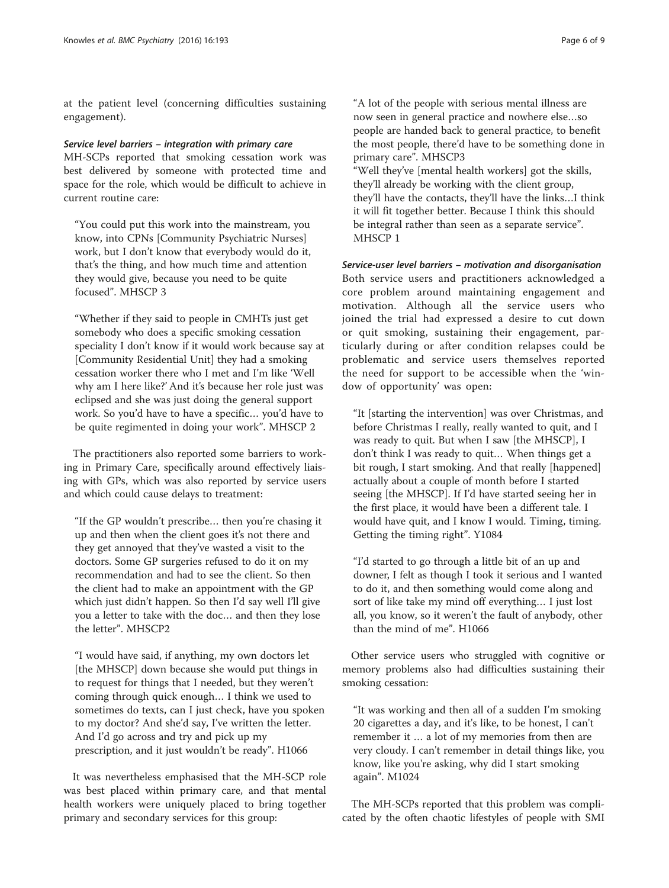at the patient level (concerning difficulties sustaining engagement).

#### Service level barriers – integration with primary care

MH-SCPs reported that smoking cessation work was best delivered by someone with protected time and space for the role, which would be difficult to achieve in current routine care:

"You could put this work into the mainstream, you know, into CPNs [Community Psychiatric Nurses] work, but I don't know that everybody would do it, that's the thing, and how much time and attention they would give, because you need to be quite focused". MHSCP 3

"Whether if they said to people in CMHTs just get somebody who does a specific smoking cessation speciality I don't know if it would work because say at [Community Residential Unit] they had a smoking cessation worker there who I met and I'm like 'Well why am I here like?' And it's because her role just was eclipsed and she was just doing the general support work. So you'd have to have a specific… you'd have to be quite regimented in doing your work". MHSCP 2

The practitioners also reported some barriers to working in Primary Care, specifically around effectively liaising with GPs, which was also reported by service users and which could cause delays to treatment:

"If the GP wouldn't prescribe… then you're chasing it up and then when the client goes it's not there and they get annoyed that they've wasted a visit to the doctors. Some GP surgeries refused to do it on my recommendation and had to see the client. So then the client had to make an appointment with the GP which just didn't happen. So then I'd say well I'll give you a letter to take with the doc… and then they lose the letter". MHSCP2

"I would have said, if anything, my own doctors let [the MHSCP] down because she would put things in to request for things that I needed, but they weren't coming through quick enough… I think we used to sometimes do texts, can I just check, have you spoken to my doctor? And she'd say, I've written the letter. And I'd go across and try and pick up my prescription, and it just wouldn't be ready". H1066

It was nevertheless emphasised that the MH-SCP role was best placed within primary care, and that mental health workers were uniquely placed to bring together primary and secondary services for this group:

"A lot of the people with serious mental illness are now seen in general practice and nowhere else…so people are handed back to general practice, to benefit the most people, there'd have to be something done in primary care". MHSCP3 "Well they've [mental health workers] got the skills, they'll already be working with the client group, they'll have the contacts, they'll have the links…I think it will fit together better. Because I think this should be integral rather than seen as a separate service". MHSCP 1

Service-user level barriers – motivation and disorganisation Both service users and practitioners acknowledged a core problem around maintaining engagement and motivation. Although all the service users who joined the trial had expressed a desire to cut down or quit smoking, sustaining their engagement, particularly during or after condition relapses could be problematic and service users themselves reported the need for support to be accessible when the 'window of opportunity' was open:

"It [starting the intervention] was over Christmas, and before Christmas I really, really wanted to quit, and I was ready to quit. But when I saw [the MHSCP], I don't think I was ready to quit… When things get a bit rough, I start smoking. And that really [happened] actually about a couple of month before I started seeing [the MHSCP]. If I'd have started seeing her in the first place, it would have been a different tale. I would have quit, and I know I would. Timing, timing. Getting the timing right". Y1084

"I'd started to go through a little bit of an up and downer, I felt as though I took it serious and I wanted to do it, and then something would come along and sort of like take my mind off everything… I just lost all, you know, so it weren't the fault of anybody, other than the mind of me". H1066

Other service users who struggled with cognitive or memory problems also had difficulties sustaining their smoking cessation:

"It was working and then all of a sudden I'm smoking 20 cigarettes a day, and it's like, to be honest, I can't remember it … a lot of my memories from then are very cloudy. I can't remember in detail things like, you know, like you're asking, why did I start smoking again". M1024

The MH-SCPs reported that this problem was complicated by the often chaotic lifestyles of people with SMI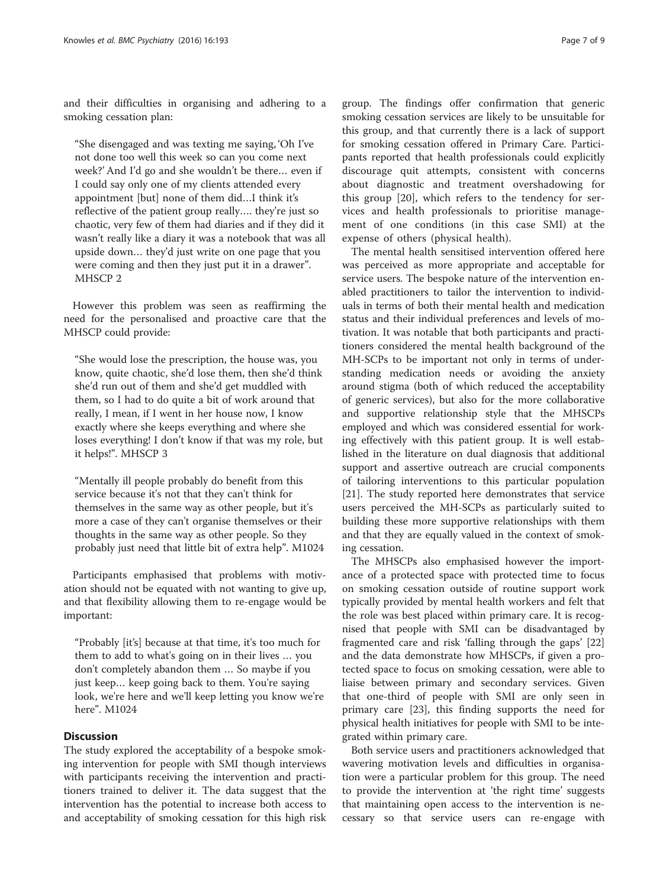and their difficulties in organising and adhering to a smoking cessation plan:

"She disengaged and was texting me saying, 'Oh I've not done too well this week so can you come next week?' And I'd go and she wouldn't be there… even if I could say only one of my clients attended every appointment [but] none of them did…I think it's reflective of the patient group really…. they're just so chaotic, very few of them had diaries and if they did it wasn't really like a diary it was a notebook that was all upside down… they'd just write on one page that you were coming and then they just put it in a drawer". MHSCP 2

However this problem was seen as reaffirming the need for the personalised and proactive care that the MHSCP could provide:

"She would lose the prescription, the house was, you know, quite chaotic, she'd lose them, then she'd think she'd run out of them and she'd get muddled with them, so I had to do quite a bit of work around that really, I mean, if I went in her house now, I know exactly where she keeps everything and where she loses everything! I don't know if that was my role, but it helps!". MHSCP 3

"Mentally ill people probably do benefit from this service because it's not that they can't think for themselves in the same way as other people, but it's more a case of they can't organise themselves or their thoughts in the same way as other people. So they probably just need that little bit of extra help". M1024

Participants emphasised that problems with motivation should not be equated with not wanting to give up, and that flexibility allowing them to re-engage would be important:

"Probably [it's] because at that time, it's too much for them to add to what's going on in their lives … you don't completely abandon them … So maybe if you just keep… keep going back to them. You're saying look, we're here and we'll keep letting you know we're here". M1024

## **Discussion**

The study explored the acceptability of a bespoke smoking intervention for people with SMI though interviews with participants receiving the intervention and practitioners trained to deliver it. The data suggest that the intervention has the potential to increase both access to and acceptability of smoking cessation for this high risk group. The findings offer confirmation that generic smoking cessation services are likely to be unsuitable for this group, and that currently there is a lack of support for smoking cessation offered in Primary Care. Participants reported that health professionals could explicitly discourage quit attempts, consistent with concerns about diagnostic and treatment overshadowing for this group [[20\]](#page-8-0), which refers to the tendency for services and health professionals to prioritise management of one conditions (in this case SMI) at the expense of others (physical health).

The mental health sensitised intervention offered here was perceived as more appropriate and acceptable for service users. The bespoke nature of the intervention enabled practitioners to tailor the intervention to individuals in terms of both their mental health and medication status and their individual preferences and levels of motivation. It was notable that both participants and practitioners considered the mental health background of the MH-SCPs to be important not only in terms of understanding medication needs or avoiding the anxiety around stigma (both of which reduced the acceptability of generic services), but also for the more collaborative and supportive relationship style that the MHSCPs employed and which was considered essential for working effectively with this patient group. It is well established in the literature on dual diagnosis that additional support and assertive outreach are crucial components of tailoring interventions to this particular population [[21\]](#page-8-0). The study reported here demonstrates that service users perceived the MH-SCPs as particularly suited to building these more supportive relationships with them and that they are equally valued in the context of smoking cessation.

The MHSCPs also emphasised however the importance of a protected space with protected time to focus on smoking cessation outside of routine support work typically provided by mental health workers and felt that the role was best placed within primary care. It is recognised that people with SMI can be disadvantaged by fragmented care and risk 'falling through the gaps' [[22](#page-8-0)] and the data demonstrate how MHSCPs, if given a protected space to focus on smoking cessation, were able to liaise between primary and secondary services. Given that one-third of people with SMI are only seen in primary care [[23\]](#page-8-0), this finding supports the need for physical health initiatives for people with SMI to be integrated within primary care.

Both service users and practitioners acknowledged that wavering motivation levels and difficulties in organisation were a particular problem for this group. The need to provide the intervention at 'the right time' suggests that maintaining open access to the intervention is necessary so that service users can re-engage with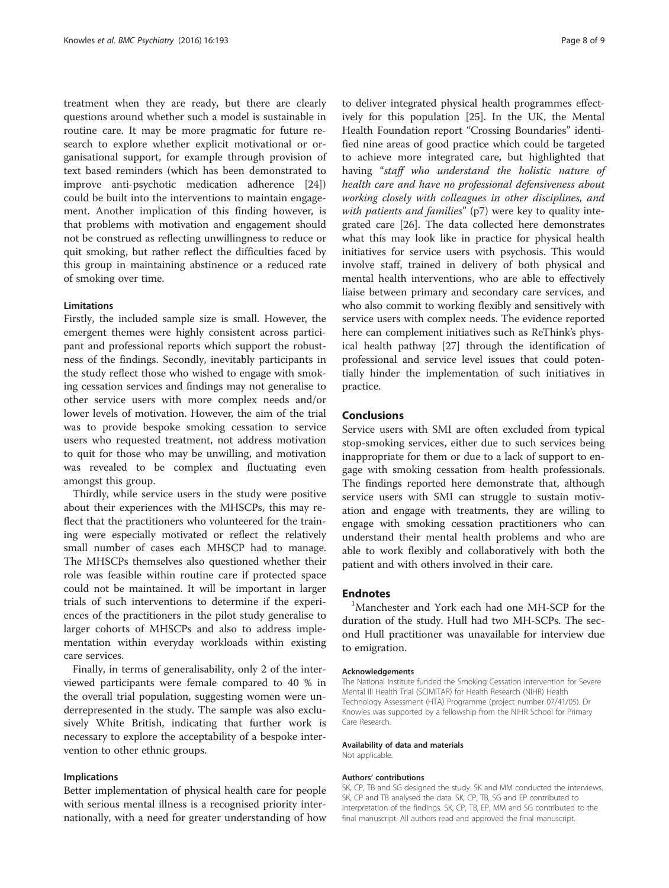treatment when they are ready, but there are clearly questions around whether such a model is sustainable in routine care. It may be more pragmatic for future research to explore whether explicit motivational or organisational support, for example through provision of text based reminders (which has been demonstrated to improve anti-psychotic medication adherence [\[24](#page-8-0)]) could be built into the interventions to maintain engagement. Another implication of this finding however, is that problems with motivation and engagement should not be construed as reflecting unwillingness to reduce or quit smoking, but rather reflect the difficulties faced by this group in maintaining abstinence or a reduced rate of smoking over time.

#### Limitations

Firstly, the included sample size is small. However, the emergent themes were highly consistent across participant and professional reports which support the robustness of the findings. Secondly, inevitably participants in the study reflect those who wished to engage with smoking cessation services and findings may not generalise to other service users with more complex needs and/or lower levels of motivation. However, the aim of the trial was to provide bespoke smoking cessation to service users who requested treatment, not address motivation to quit for those who may be unwilling, and motivation was revealed to be complex and fluctuating even amongst this group.

Thirdly, while service users in the study were positive about their experiences with the MHSCPs, this may reflect that the practitioners who volunteered for the training were especially motivated or reflect the relatively small number of cases each MHSCP had to manage. The MHSCPs themselves also questioned whether their role was feasible within routine care if protected space could not be maintained. It will be important in larger trials of such interventions to determine if the experiences of the practitioners in the pilot study generalise to larger cohorts of MHSCPs and also to address implementation within everyday workloads within existing care services.

Finally, in terms of generalisability, only 2 of the interviewed participants were female compared to 40 % in the overall trial population, suggesting women were underrepresented in the study. The sample was also exclusively White British, indicating that further work is necessary to explore the acceptability of a bespoke intervention to other ethnic groups.

#### Implications

Better implementation of physical health care for people with serious mental illness is a recognised priority internationally, with a need for greater understanding of how

to deliver integrated physical health programmes effectively for this population [[25\]](#page-8-0). In the UK, the Mental Health Foundation report "Crossing Boundaries" identified nine areas of good practice which could be targeted to achieve more integrated care, but highlighted that having "staff who understand the holistic nature of health care and have no professional defensiveness about working closely with colleagues in other disciplines, and with patients and families" (p7) were key to quality integrated care [\[26\]](#page-8-0). The data collected here demonstrates what this may look like in practice for physical health initiatives for service users with psychosis. This would involve staff, trained in delivery of both physical and mental health interventions, who are able to effectively liaise between primary and secondary care services, and who also commit to working flexibly and sensitively with service users with complex needs. The evidence reported here can complement initiatives such as ReThink's physical health pathway [[27\]](#page-8-0) through the identification of professional and service level issues that could potentially hinder the implementation of such initiatives in practice.

## Conclusions

Service users with SMI are often excluded from typical stop-smoking services, either due to such services being inappropriate for them or due to a lack of support to engage with smoking cessation from health professionals. The findings reported here demonstrate that, although service users with SMI can struggle to sustain motivation and engage with treatments, they are willing to engage with smoking cessation practitioners who can understand their mental health problems and who are able to work flexibly and collaboratively with both the patient and with others involved in their care.

## **Endnotes**

Manchester and York each had one MH-SCP for the duration of the study. Hull had two MH-SCPs. The second Hull practitioner was unavailable for interview due to emigration.

#### Acknowledgements

The National Institute funded the Smoking Cessation Intervention for Severe Mental Ill Health Trial (SCIMITAR) for Health Research (NIHR) Health Technology Assessment (HTA) Programme (project number 07/41/05). Dr Knowles was supported by a fellowship from the NIHR School for Primary Care Research.

#### Availability of data and materials Not applicable.

#### Authors' contributions

SK, CP, TB and SG designed the study. SK and MM conducted the interviews. SK, CP and TB analysed the data. SK, CP, TB, SG and EP contributed to interpretation of the findings. SK, CP, TB, EP, MM and SG contributed to the final manuscript. All authors read and approved the final manuscript.